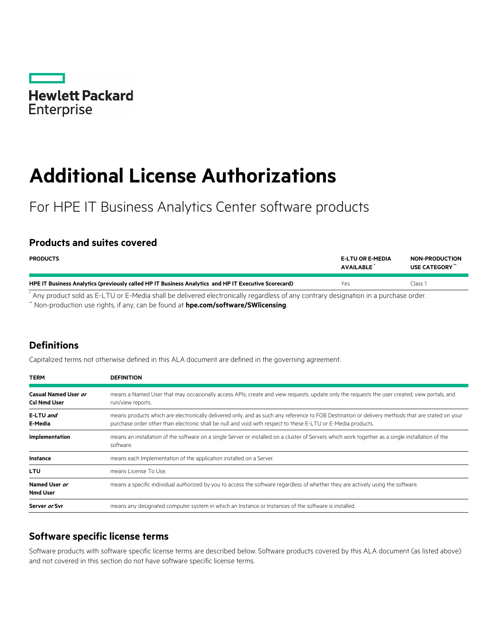

# **Additional License Authorizations**

For HPE IT Business Analytics Center software products

### **Products and suites covered**

| <b>PRODUCTS</b>                                                                                      | <b>E-LTU OR E-MEDIA</b><br><b>AVAILABLE</b> | <b>NON-PRODUCTION</b><br>USE CATEGORY" |
|------------------------------------------------------------------------------------------------------|---------------------------------------------|----------------------------------------|
| HPE IT Business Analytics (previously called HP IT Business Analytics and HP IT Executive Scorecard) | Yes                                         | Class 1                                |
|                                                                                                      |                                             |                                        |

Any product sold as E-LTU or E-Media shall be delivered electronically regardless of any contrary designation in a purchase order.

\*\* Non-production use rights, if any, can be found at **[hpe.com/software/SWlicensing](http://www.hpe.com/software/SWlicensing)**.

## **Definitions**

Capitalized terms not otherwise defined in this ALA document are defined in the governing agreement.

| <b>TERM</b>                                 | <b>DEFINITION</b><br>means a Named User that may occasionally access APIs, create and view requests, update only the requests the user created, view portals, and<br>run/view reports.                                                                           |  |
|---------------------------------------------|------------------------------------------------------------------------------------------------------------------------------------------------------------------------------------------------------------------------------------------------------------------|--|
| Casual Named User or<br><b>Csl Nmd User</b> |                                                                                                                                                                                                                                                                  |  |
| E-LTU and<br>E-Media                        | means products which are electronically delivered only, and as such any reference to FOB Destination or delivery methods that are stated on your<br>purchase order other than electronic shall be null and void with respect to these E-LTU or E-Media products. |  |
| Implementation                              | means an installation of the software on a single Server or installed on a cluster of Servers which work together as a single installation of the<br>software.                                                                                                   |  |
| <b>Instance</b>                             | means each Implementation of the application installed on a Server.                                                                                                                                                                                              |  |
| <b>LTU</b>                                  | means License To Use.                                                                                                                                                                                                                                            |  |
| Named User or<br><b>Nmd User</b>            | means a specific individual authorized by you to access the software regardless of whether they are actively using the software.                                                                                                                                 |  |
| Server or Svr                               | means any designated computer system in which an Instance or Instances of the software is installed.                                                                                                                                                             |  |

#### **Software specific license terms**

Software products with software specific license terms are described below. Software products covered by this ALA document (as listed above) and not covered in this section do not have software specific license terms.